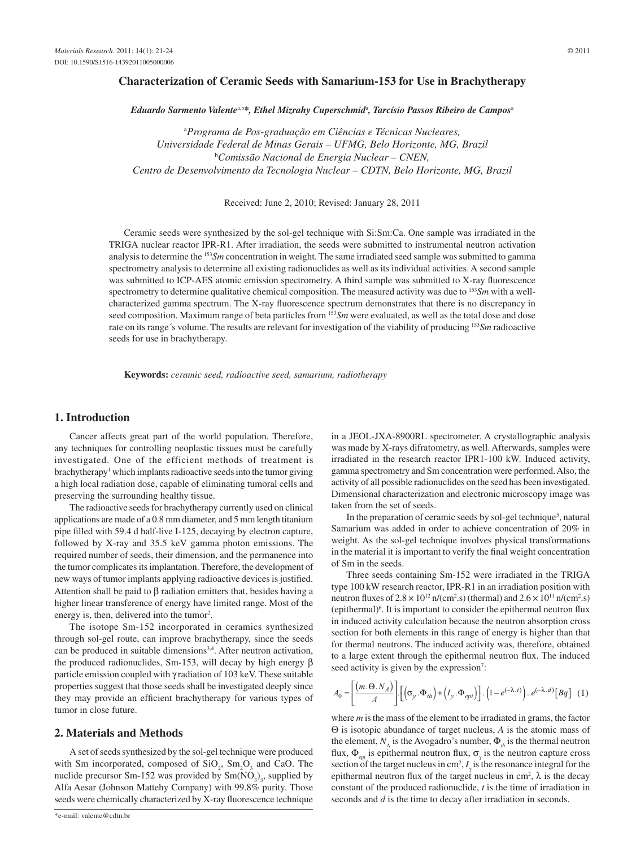## **Characterization of Ceramic Seeds with Samarium-153 for Use in Brachytherapy**

 $E$ duardo Sarmento Valente<sup>a,b\*</sup>, Ethel Mizrahy Cuperschmid<sup>a</sup>, Tarcísio Passos Ribeiro de Campos<sup>a</sup>

a *Programa de Pos-graduação em Ciências e Técnicas Nucleares, Universidade Federal de Minas Gerais – UFMG, Belo Horizonte, MG, Brazil* b *Comissão Nacional de Energia Nuclear – CNEN, Centro de Desenvolvimento da Tecnologia Nuclear – CDTN, Belo Horizonte, MG, Brazil*

Received: June 2, 2010; Revised: January 28, 2011

Ceramic seeds were synthesized by the sol-gel technique with Si:Sm:Ca. One sample was irradiated in the TRIGA nuclear reactor IPR-R1. After irradiation, the seeds were submitted to instrumental neutron activation analysis to determine the 153*Sm* concentration in weight. The same irradiated seed sample was submitted to gamma spectrometry analysis to determine all existing radionuclides as well as its individual activities. A second sample was submitted to ICP-AES atomic emission spectrometry. A third sample was submitted to X-ray fluorescence spectrometry to determine qualitative chemical composition. The measured activity was due to 153*Sm* with a wellcharacterized gamma spectrum. The X-ray fluorescence spectrum demonstrates that there is no discrepancy in seed composition. Maximum range of beta particles from 153*Sm* were evaluated, as well as the total dose and dose rate on its range´s volume. The results are relevant for investigation of the viability of producing 153*Sm* radioactive seeds for use in brachytherapy.

**Keywords:** *ceramic seed, radioactive seed, samarium, radiotherapy*

### **1. Introduction**

Cancer affects great part of the world population. Therefore, any techniques for controlling neoplastic tissues must be carefully investigated. One of the efficient methods of treatment is brachytherapy<sup>1</sup> which implants radioactive seeds into the tumor giving a high local radiation dose, capable of eliminating tumoral cells and preserving the surrounding healthy tissue.

The radioactive seeds for brachytherapy currently used on clinical applications are made of a 0.8 mm diameter, and 5 mm length titanium pipe filled with 59.4 d half-live I-125, decaying by electron capture, followed by X-ray and 35.5 keV gamma photon emissions. The required number of seeds, their dimension, and the permanence into the tumor complicates its implantation. Therefore, the development of new ways of tumor implants applying radioactive devices is justified. Attention shall be paid to β radiation emitters that, besides having a higher linear transference of energy have limited range. Most of the energy is, then, delivered into the tumor<sup>2</sup>.

The isotope Sm-152 incorporated in ceramics synthesized through sol-gel route, can improve brachytherapy, since the seeds can be produced in suitable dimensions<sup>3,4</sup>. After neutron activation, the produced radionuclides, Sm-153, will decay by high energy β particle emission coupled with  $\gamma$  radiation of 103 keV. These suitable properties suggest that those seeds shall be investigated deeply since they may provide an efficient brachytherapy for various types of tumor in close future.

## **2. Materials and Methods**

A set of seeds synthesized by the sol-gel technique were produced with Sm incorporated, composed of  $SiO_2$ ,  $Sm_2O_3$  and CaO. The nuclide precursor Sm-152 was provided by  $Sm(NO<sub>3</sub>)<sub>3</sub>$ , supplied by Alfa Aesar (Johnson Mattehy Company) with 99.8% purity. Those seeds were chemically characterized by X-ray fluorescence technique

in a JEOL-JXA-8900RL spectrometer. A crystallographic analysis was made by X-rays difratometry, as well. Afterwards, samples were irradiated in the research reactor IPR1-100 kW. Induced activity, gamma spectrometry and Sm concentration were performed. Also, the activity of all possible radionuclides on the seed has been investigated. Dimensional characterization and electronic microscopy image was taken from the set of seeds.

In the preparation of ceramic seeds by sol-gel technique<sup>5</sup>, natural Samarium was added in order to achieve concentration of 20% in weight. As the sol-gel technique involves physical transformations in the material it is important to verify the final weight concentration of Sm in the seeds.

Three seeds containing Sm-152 were irradiated in the TRIGA type 100 kW research reactor, IPR-R1 in an irradiation position with neutron fluxes of  $2.8 \times 10^{12}$  n/(cm<sup>2</sup>.s) (thermal) and  $2.6 \times 10^{11}$  n/(cm<sup>2</sup>.s) (epithermal)6 . It is important to consider the epithermal neutron flux in induced activity calculation because the neutron absorption cross section for both elements in this range of energy is higher than that for thermal neutrons. The induced activity was, therefore, obtained to a large extent through the epithermal neutron flux. The induced seed activity is given by the expression<sup>7</sup>:

$$
A_0 = \left[ \frac{(m.\Theta.N_A)}{A} \right] \cdot \left[ \left( \sigma_y \cdot \Phi_{th} \right) + \left( I_y \cdot \Phi_{epi} \right) \right] \cdot \left( 1 - e^{(-\lambda.t)} \right) \cdot e^{(-\lambda.d)} \left[ Bq \right] \tag{1}
$$

where *m* is the mass of the element to be irradiated in grams, the factor Θ is isotopic abundance of target nucleus, *A* is the atomic mass of the element,  $N_A$  is the Avogadro's number,  $\Phi_{th}$  is the thermal neutron flux,  $\Phi_{epi}$  is epithermal neutron flux,  $\sigma_{\gamma}$  is the neutron capture cross section of the target nucleus in cm<sup>2</sup>,  $I_{\gamma}$  is the resonance integral for the epithermal neutron flux of the target nucleus in cm<sup>2</sup>,  $\lambda$  is the decay constant of the produced radionuclide, *t* is the time of irradiation in seconds and *d* is the time to decay after irradiation in seconds.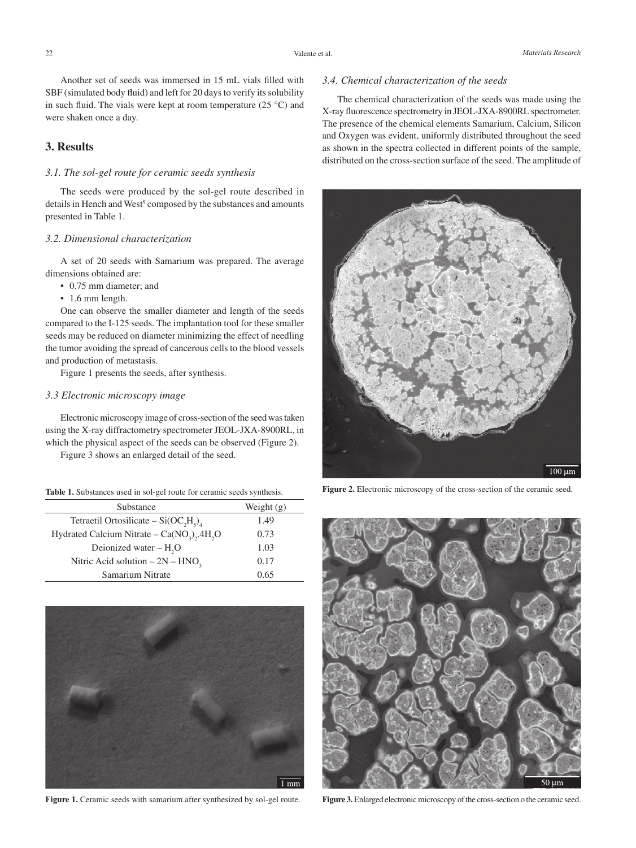Another set of seeds was immersed in 15 mL vials filled with SBF (simulated body fluid) and left for 20 days to verify its solubility in such fluid. The vials were kept at room temperature (25  $^{\circ}$ C) and were shaken once a day.

# **3. Results**

### *3.1. The sol-gel route for ceramic seeds synthesis*

The seeds were produced by the sol-gel route described in details in Hench and West<sup>5</sup> composed by the substances and amounts presented in Table 1.

### *3.2. Dimensional characterization*

A set of 20 seeds with Samarium was prepared. The average dimensions obtained are:

- 0.75 mm diameter; and
- 1.6 mm length.

One can observe the smaller diameter and length of the seeds compared to the I-125 seeds. The implantation tool for these smaller seeds may be reduced on diameter minimizing the effect of needling the tumor avoiding the spread of cancerous cells to the blood vessels and production of metastasis.

Figure 1 presents the seeds, after synthesis.

### *3.3 Electronic microscopy image*

Electronic microscopy image of cross-section of the seed was taken using the X-ray diffractometry spectrometer JEOL-JXA-8900RL, in which the physical aspect of the seeds can be observed (Figure 2).

Figure 3 shows an enlarged detail of the seed.

|  |  |  | Table 1. Substances used in sol-gel route for ceramic seeds synthesis. |  |  |  |  |  |  |  |  |  |
|--|--|--|------------------------------------------------------------------------|--|--|--|--|--|--|--|--|--|
|--|--|--|------------------------------------------------------------------------|--|--|--|--|--|--|--|--|--|

| Substance                                  | Weight $(g)$ |  |  |
|--------------------------------------------|--------------|--|--|
| Tetraetil Ortosilicate – $Si(OC, Hs)4$     | 1.49         |  |  |
| Hydrated Calcium Nitrate – $Ca(NO3), 4H3O$ | 0.73         |  |  |
| Deionized water $- H2O$                    | 1.03         |  |  |
| Nitric Acid solution $-2N - HNO2$          | 0.17         |  |  |
| Samarium Nitrate                           | 0.65         |  |  |



Figure 1. Ceramic seeds with samarium after synthesized by sol-gel route.

# *3.4. Chemical characterization of the seeds*

The chemical characterization of the seeds was made using the X-ray fluorescence spectrometry in JEOL-JXA-8900RL spectrometer. The presence of the chemical elements Samarium, Calcium, Silicon and Oxygen was evident, uniformly distributed throughout the seed as shown in the spectra collected in different points of the sample, distributed on the cross-section surface of the seed. The amplitude of



Figure 2. Electronic microscopy of the cross-section of the ceramic seed.



**Figure 3.** Enlarged electronic microscopy of the cross-section o the ceramic seed.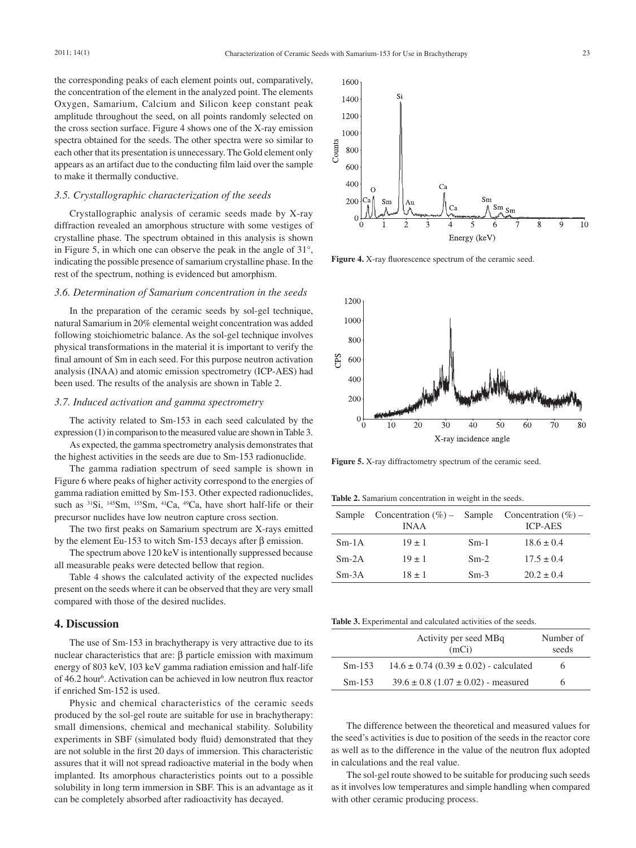the corresponding peaks of each element points out, comparatively, the concentration of the element in the analyzed point. The elements Oxygen, Samarium, Calcium and Silicon keep constant peak amplitude throughout the seed, on all points randomly selected on the cross section surface. Figure 4 shows one of the X-ray emission spectra obtained for the seeds. The other spectra were so similar to each other that its presentation is unnecessary. The Gold element only appears as an artifact due to the conducting film laid over the sample to make it thermally conductive.

#### *3.5. Crystallographic characterization of the seeds*

Crystallographic analysis of ceramic seeds made by X-ray diffraction revealed an amorphous structure with some vestiges of crystalline phase. The spectrum obtained in this analysis is shown in Figure 5, in which one can observe the peak in the angle of 31°, indicating the possible presence of samarium crystalline phase. In the rest of the spectrum, nothing is evidenced but amorphism.

### *3.6. Determination of Samarium concentration in the seeds*

In the preparation of the ceramic seeds by sol-gel technique, natural Samarium in 20% elemental weight concentration was added following stoichiometric balance. As the sol-gel technique involves physical transformations in the material it is important to verify the final amount of Sm in each seed. For this purpose neutron activation analysis (INAA) and atomic emission spectrometry (ICP-AES) had been used. The results of the analysis are shown in Table 2.

#### *3.7. Induced activation and gamma spectrometry*

The activity related to Sm-153 in each seed calculated by the expression (1) in comparison to the measured value are shown in Table 3.

As expected, the gamma spectrometry analysis demonstrates that the highest activities in the seeds are due to Sm-153 radionuclide.

The gamma radiation spectrum of seed sample is shown in Figure 6 where peaks of higher activity correspond to the energies of gamma radiation emitted by Sm-153. Other expected radionuclides, such as <sup>31</sup>Si, <sup>145</sup>Sm, <sup>155</sup>Sm, <sup>41</sup>Ca, <sup>49</sup>Ca, have short half-life or their precursor nuclides have low neutron capture cross section.

The two first peaks on Samarium spectrum are X-rays emitted by the element Eu-153 to witch Sm-153 decays after β emission.

The spectrum above 120 keV is intentionally suppressed because all measurable peaks were detected bellow that region.

Table 4 shows the calculated activity of the expected nuclides present on the seeds where it can be observed that they are very small compared with those of the desired nuclides.

## **4. Discussion**

The use of Sm-153 in brachytherapy is very attractive due to its nuclear characteristics that are:  $β$  particle emission with maximum energy of 803 keV, 103 keV gamma radiation emission and half-life of 46.2 hour<sup>6</sup>. Activation can be achieved in low neutron flux reactor if enriched Sm-152 is used.

Physic and chemical characteristics of the ceramic seeds produced by the sol-gel route are suitable for use in brachytherapy: small dimensions, chemical and mechanical stability. Solubility experiments in SBF (simulated body fluid) demonstrated that they are not soluble in the first 20 days of immersion. This characteristic assures that it will not spread radioactive material in the body when implanted. Its amorphous characteristics points out to a possible solubility in long term immersion in SBF. This is an advantage as it can be completely absorbed after radioactivity has decayed.



Figure 4. X-ray fluorescence spectrum of the ceramic seed.



Figure 5. X-ray diffractometry spectrum of the ceramic seed.

**Table 2.** Samarium concentration in weight in the seeds.

| Sample  | Concentration $(\%)$ - Sample Concentration $(\%)$ -<br><b>INAA</b> |        | <b>ICP-AES</b> |
|---------|---------------------------------------------------------------------|--------|----------------|
| $Sm-1A$ | $19 \pm 1$                                                          | $Sm-1$ | $18.6 \pm 0.4$ |
| $Sm-2A$ | $19 \pm 1$                                                          | $Sm-2$ | $17.5 \pm 0.4$ |
| $Sm-3A$ | $18 \pm 1$                                                          | $Sm-3$ | $20.2 \pm 0.4$ |

**Table 3.** Experimental and calculated activities of the seeds.

|          | Activity per seed MBq<br>(mCi)                 | Number of<br>seeds |
|----------|------------------------------------------------|--------------------|
| $Sm-153$ | $14.6 \pm 0.74$ (0.39 $\pm$ 0.02) - calculated | 6                  |
| $Sm-153$ | $39.6 \pm 0.8$ (1.07 $\pm$ 0.02) - measured    | h                  |

The difference between the theoretical and measured values for the seed's activities is due to position of the seeds in the reactor core as well as to the difference in the value of the neutron flux adopted in calculations and the real value.

The sol-gel route showed to be suitable for producing such seeds as it involves low temperatures and simple handling when compared with other ceramic producing process.